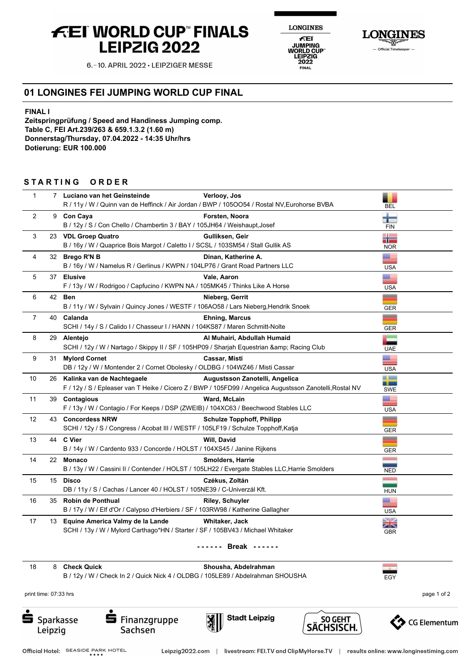## **FEI WORLD CUP FINALS LEIPZIG 2022**



**NES** 

**LON** 

6.-10. APRIL 2022 - LEIPZIGER MESSE

## **01 LONGINES FEI JUMPING WORLD CUP FINAL**

**FINAL I**

**Zeitspringprüfung / Speed and Handiness Jumping comp. Table C, FEI Art.239/263 & 659.1.3.2 (1.60 m) Donnerstag/Thursday, 07.04.2022 - 14:35 Uhr/hrs Dotierung: EUR 100.000**

## STARTING ORDER

| $\mathbf{1}$   |    | 7 Luciano van het Geinsteinde<br>R / 11y / W / Quinn van de Heffinck / Air Jordan / BWP / 105OO54 / Rostal NV, Eurohorse BVBA             | Verlooy, Jos                     | <b>BEL</b>                   |
|----------------|----|-------------------------------------------------------------------------------------------------------------------------------------------|----------------------------------|------------------------------|
| 2              |    | 9 Con Caya<br>B / 12y / S / Con Chello / Chambertin 3 / BAY / 105JH64 / Weishaupt, Josef                                                  | Forsten, Noora                   | <b>TEL</b><br><b>FIN</b>     |
| 3              |    | 23 VDL Groep Quatro<br>B / 16y / W / Quaprice Bois Margot / Caletto I / SCSL / 103SM54 / Stall Gullik AS                                  | Gulliksen, Geir                  | a pro<br>i۳<br><b>NOR</b>    |
| 4              |    | 32 Brego R'N B<br>B / 16y / W / Namelus R / Gerlinus / KWPN / 104LP76 / Grant Road Partners LLC                                           | Dinan, Katherine A.              | ▆<br><b>USA</b>              |
| 5              |    | 37 Elusive<br>F / 13y / W / Rodrigoo / Capfucino / KWPN NA / 105MK45 / Thinks Like A Horse                                                | Vale, Aaron                      | æ<br><b>USA</b>              |
| 6              |    | 42 Ben<br>B / 11y / W / Sylvain / Quincy Jones / WESTF / 106AO58 / Lars Nieberg, Hendrik Snoek                                            | Nieberg, Gerrit                  | =<br><b>GER</b>              |
| $\overline{7}$ | 40 | Calanda<br>SCHI / 14y / S / Calido I / Chasseur I / HANN / 104KS87 / Maren Schmitt-Nolte                                                  | <b>Ehning, Marcus</b>            | __<br><b>GER</b>             |
| 8              |    | 29 Alentejo<br>SCHI / 12y / W / Nartago / Skippy II / SF / 105HP09 / Sharjah Equestrian & Racing Club                                     | Al Muhairi, Abdullah Humaid      | <b>UAE</b>                   |
| 9              |    | 31 Mylord Cornet<br>DB / 12y / W / Montender 2 / Cornet Obolesky / OLDBG / 104WZ46 / Misti Cassar                                         | <b>Cassar, Misti</b>             | Œ<br><b>USA</b>              |
| 10             |    | 26 Kalinka van de Nachtegaele<br>F / 12y / S / Epleaser van T Heike / Cicero Z / BWP / 105FD99 / Angelica Augustsson Zanotelli, Rostal NV | Augustsson Zanotelli, Angelica   | --<br>نس و<br><b>SWE</b>     |
| 11             |    | 39 Contagious<br>F / 13y / W / Contagio / For Keeps / DSP (ZWEIB) / 104XC63 / Beechwood Stables LLC                                       | Ward, McLain                     | æ<br><b>USA</b>              |
| 12             |    | 43 Concordess NRW<br>SCHI / 12y / S / Congress / Acobat III / WESTF / 105LF19 / Schulze Topphoff, Katja                                   | <b>Schulze Topphoff, Philipp</b> | -<br><b>GER</b>              |
| 13             |    | 44 C Vier<br>B / 14y / W / Cardento 933 / Concorde / HOLST / 104XS45 / Janine Rijkens                                                     | Will, David                      | =<br><b>GER</b>              |
| 14             |    | 22 Monaco<br>B / 13y / W / Cassini II / Contender / HOLST / 105LH22 / Evergate Stables LLC, Harrie Smolders                               | <b>Smolders, Harrie</b>          | <b>NED</b>                   |
| 15             |    | 15 Disco<br>DB / 11y / S / Cachas / Lancer 40 / HOLST / 105NE39 / C-Univerzál Kft.                                                        | Czékus, Zoltán                   | <b>HUN</b>                   |
| 16             |    | 35 Robin de Ponthual<br>B / 17y / W / Elf d'Or / Calypso d'Herbiers / SF / 103RW98 / Katherine Gallagher                                  | <b>Riley, Schuyler</b>           | Œ<br><b>USA</b>              |
| 17             |    | 13 Equine America Valmy de la Lande<br>SCHI / 13y / W / Mylord Carthago*HN / Starter / SF / 105BV43 / Michael Whitaker                    | Whitaker, Jack                   | ∐∠<br>$\times$<br><b>GBR</b> |
|                |    |                                                                                                                                           |                                  |                              |

18 8 **Check Quick Shousha, Abdelrahman**

B / 12y / W / Check In 2 / Quick Nick 4 / OLDBG / 105LE89 / Abdelrahman SHOUSHA

print time: 07:33 hrs **page 1 of 2** 



**S** Finanzgruppe Sachsen